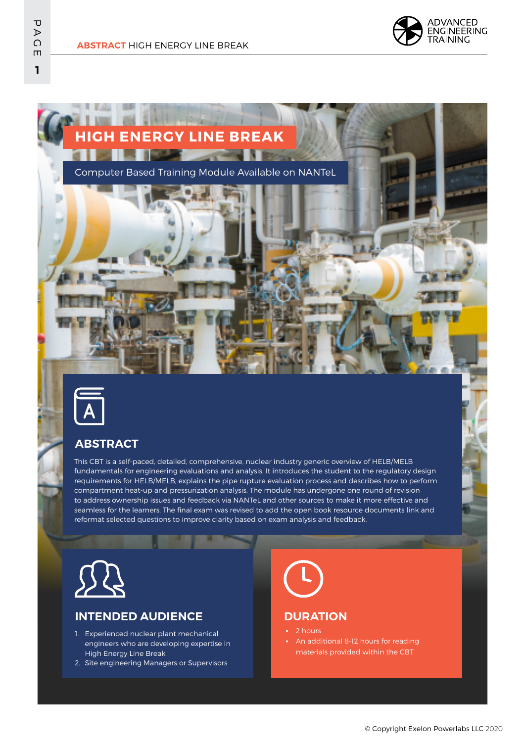







## **ABSTRACT**

This CBT is a self-paced, detailed, comprehensive, nuclear industry generic overview of HELB/MELB fundamentals for engineering evaluations and analysis. It introduces the student to the regulatory design requirements for HELB/MELB, explains the pipe rupture evaluation process and describes how to perform compartment heat-up and pressurization analysis. The module has undergone one round of revision to address ownership issues and feedback via NANTeL and other sources to make it more effective and seamless for the learners. The final exam was revised to add the open book resource documents link and reformat selected questions to improve clarity based on exam analysis and feedback.



### **INTENDED AUDIENCE**

- 1. Experienced nuclear plant mechanical engineers who are developing expertise in High Energy Line Break
- 2. Site engineering Managers or Supervisors



#### **DURATION**

- 2 hours
- An additional 8-12 hours for reading materials provided within the CBT